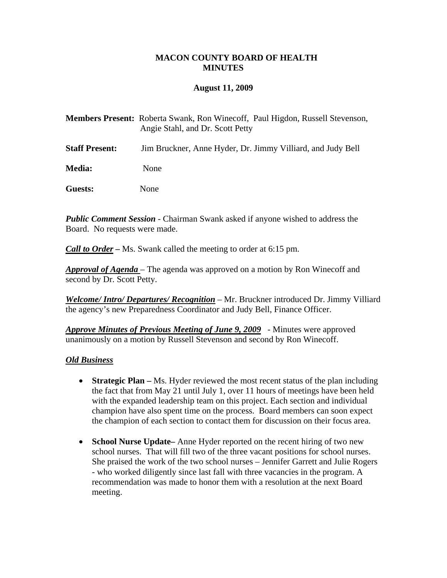## **MACON COUNTY BOARD OF HEALTH MINUTES**

### **August 11, 2009**

|                       | <b>Members Present:</b> Roberta Swank, Ron Winecoff, Paul Higdon, Russell Stevenson,<br>Angie Stahl, and Dr. Scott Petty |
|-----------------------|--------------------------------------------------------------------------------------------------------------------------|
| <b>Staff Present:</b> | Jim Bruckner, Anne Hyder, Dr. Jimmy Villiard, and Judy Bell                                                              |
| <b>Media:</b>         | None                                                                                                                     |
| Guests:               | None                                                                                                                     |

*Public Comment Session* - Chairman Swank asked if anyone wished to address the Board. No requests were made.

*Call to Order –* Ms. Swank called the meeting to order at 6:15 pm.

*Approval of Agenda* – The agenda was approved on a motion by Ron Winecoff and second by Dr. Scott Petty.

*Welcome/ Intro/ Departures/ Recognition* – Mr. Bruckner introduced Dr. Jimmy Villiard the agency's new Preparedness Coordinator and Judy Bell, Finance Officer.

*Approve Minutes of Previous Meeting of June 9, 2009* - Minutes were approved unanimously on a motion by Russell Stevenson and second by Ron Winecoff.

#### *Old Business*

- **Strategic Plan** Ms. Hyder reviewed the most recent status of the plan including the fact that from May 21 until July 1, over 11 hours of meetings have been held with the expanded leadership team on this project. Each section and individual champion have also spent time on the process. Board members can soon expect the champion of each section to contact them for discussion on their focus area.
- **School Nurse Update–** Anne Hyder reported on the recent hiring of two new school nurses. That will fill two of the three vacant positions for school nurses. She praised the work of the two school nurses – Jennifer Garrett and Julie Rogers - who worked diligently since last fall with three vacancies in the program. A recommendation was made to honor them with a resolution at the next Board meeting.